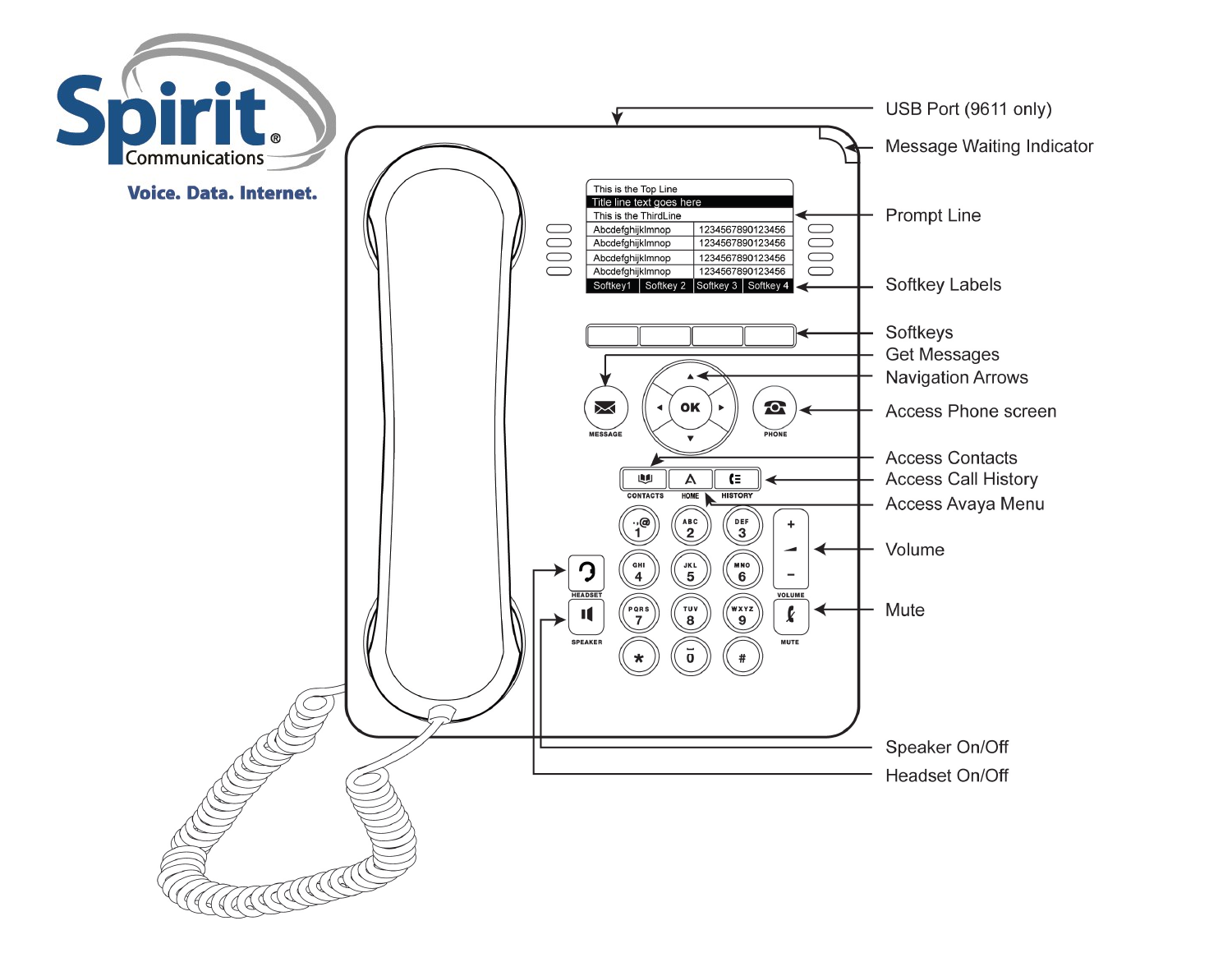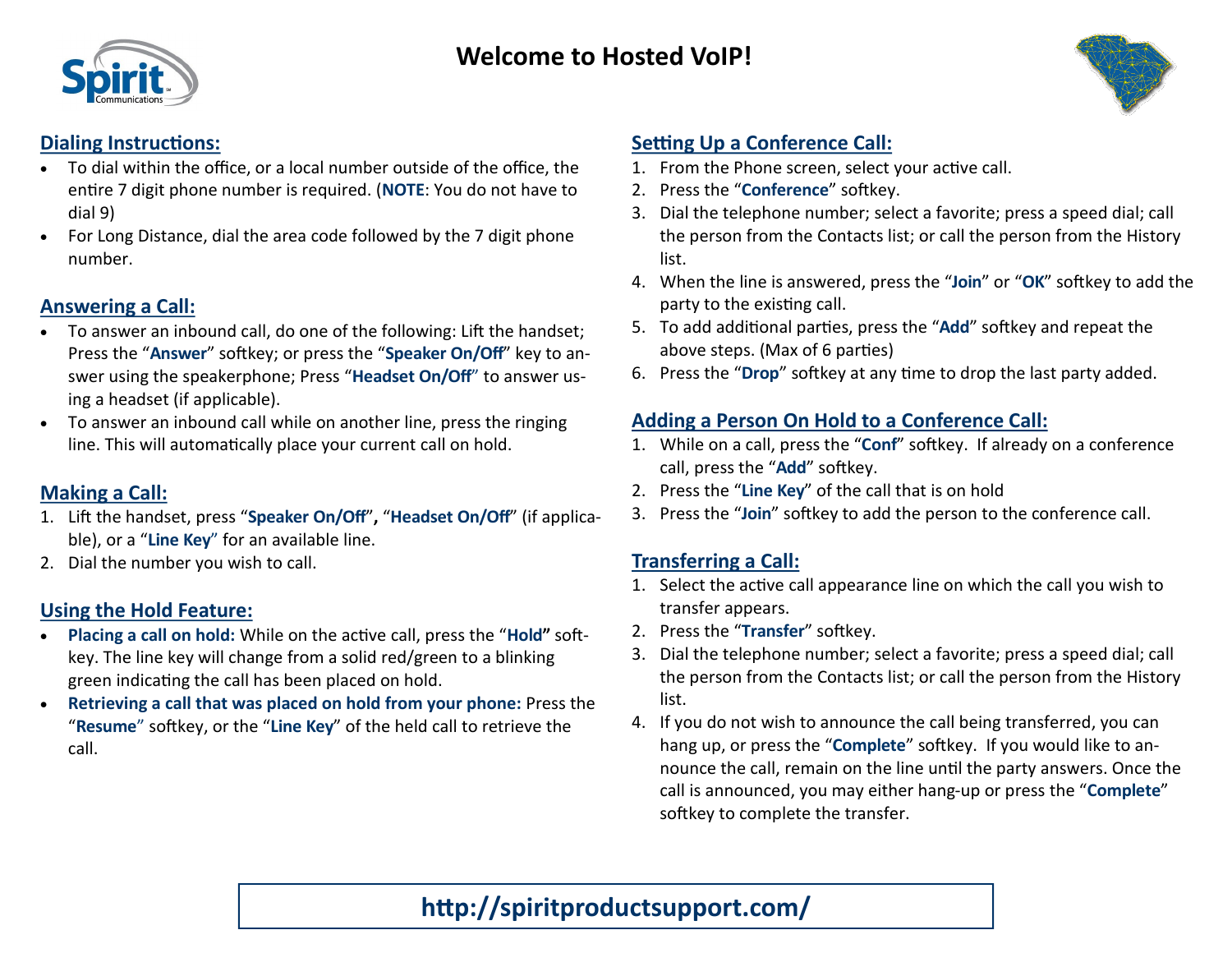

#### **Dialing Instructions:**

- To dial within the office, or a local number outside of the office, the entire 7 digit phone number is required. (**NOTE**: You do not have to dial 9)
- For Long Distance, dial the area code followed by the 7 digit phone number.

#### **Answering a Call:**

- To answer an inbound call, do one of the following: Lift the handset; Press the "**Answer**" softkey; or press the "**Speaker On/Off**" key to answer using the speakerphone; Press "**Headset On/Off**" to answer using a headset (if applicable).
- To answer an inbound call while on another line, press the ringing line. This will automatically place your current call on hold.

### **Making a Call:**

- 1. Lift the handset, press "**Speaker On/Off**"**,** "**Headset On/Off**" (if applicable), or a "**Line Key**" for an available line.
- 2. Dial the number you wish to call.

#### **Using the Hold Feature:**

- **Placing a call on hold:** While on the active call, press the "**Hold"** softkey. The line key will change from a solid red/green to a blinking green indicating the call has been placed on hold.
- **Retrieving a call that was placed on hold from your phone:** Press the "**Resume**" softkey, or the "**Line Key**" of the held call to retrieve the call.

### **Setting Up a Conference Call:**

- 1. From the Phone screen, select your active call.
- 2. Press the "**Conference**" softkey.
- 3. Dial the telephone number; select a favorite; press a speed dial; call the person from the Contacts list; or call the person from the History list.
- 4. When the line is answered, press the "**Join**" or "**OK**" softkey to add the party to the existing call.
- 5. To add additional parties, press the "**Add**" softkey and repeat the above steps. (Max of 6 parties)
- 6. Press the "**Drop**" softkey at any time to drop the last party added.

### **Adding a Person On Hold to a Conference Call:**

- 1. While on a call, press the "**Conf**" softkey. If already on a conference call, press the "**Add**" softkey.
- 2. Press the "**Line Key**" of the call that is on hold
- 3. Press the "**Join**" softkey to add the person to the conference call.

#### **Transferring a Call:**

- 1. Select the active call appearance line on which the call you wish to transfer appears.
- 2. Press the "**Transfer**" softkey.
- 3. Dial the telephone number; select a favorite; press a speed dial; call the person from the Contacts list; or call the person from the History list.
- 4. If you do not wish to announce the call being transferred, you can hang up, or press the "**Complete**" softkey. If you would like to announce the call, remain on the line until the party answers. Once the call is announced, you may either hang-up or press the "**Complete**" softkey to complete the transfer.

# **http://spiritproductsupport.com/**

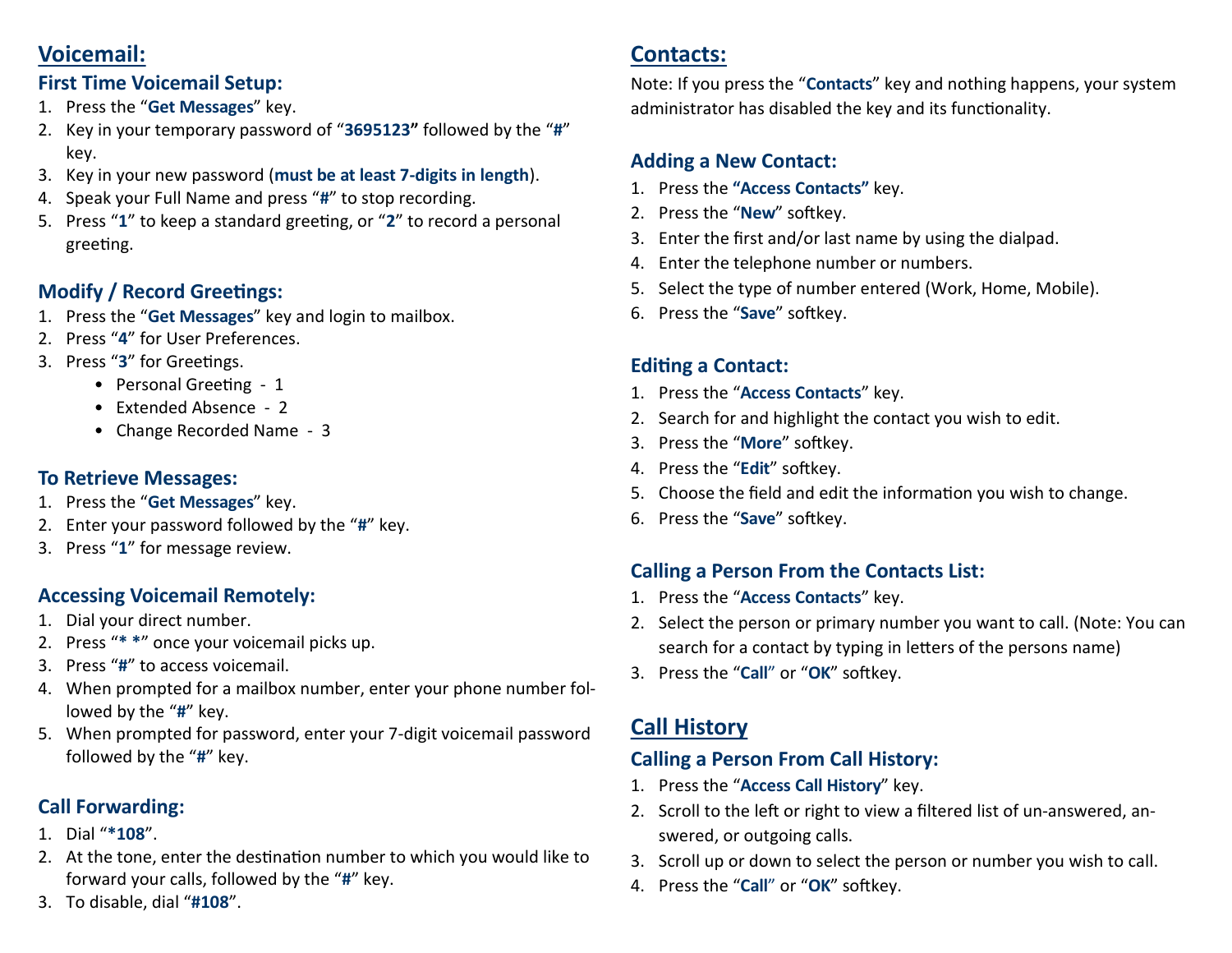## **Voicemail:**

#### **First Time Voicemail Setup:**

- 1. Press the "**Get Messages**" key.
- 2. Key in your temporary password of "**3695123"** followed by the "**#**" key.
- 3. Key in your new password (**must be at least 7-digits in length**).
- 4. Speak your Full Name and press "**#**" to stop recording.
- 5. Press "**1**" to keep a standard greeting, or "**2**" to record a personal greeting.

## **Modify / Record Greetings:**

- 1. Press the "**Get Messages**" key and login to mailbox.
- 2. Press "**4**" for User Preferences.
- 3. Press "**3**" for Greetings.
	- Personal Greeting 1
	- Extended Absence 2
	- Change Recorded Name 3

### **To Retrieve Messages:**

- 1. Press the "**Get Messages**" key.
- 2. Enter your password followed by the "**#**" key.
- 3. Press "**1**" for message review.

## **Accessing Voicemail Remotely:**

- 1. Dial your direct number.
- 2. Press "**\* \***" once your voicemail picks up.
- 3. Press "**#**" to access voicemail.
- 4. When prompted for a mailbox number, enter your phone number followed by the "**#**" key.
- 5. When prompted for password, enter your 7-digit voicemail password followed by the "**#**" key.

## **Call Forwarding:**

- 1. Dial "**\*108**".
- 2. At the tone, enter the destination number to which you would like to forward your calls, followed by the "**#**" key.
- 3. To disable, dial "**#108**".

## **Contacts:**

Note: If you press the "**Contacts**" key and nothing happens, your system administrator has disabled the key and its functionality.

### **Adding a New Contact:**

- 1. Press the **"Access Contacts"** key.
- 2. Press the "**New**" softkey.
- 3. Enter the first and/or last name by using the dialpad.
- 4. Enter the telephone number or numbers.
- 5. Select the type of number entered (Work, Home, Mobile).
- 6. Press the "**Save**" softkey.

## **Editing a Contact:**

- 1. Press the "**Access Contacts**" key.
- 2. Search for and highlight the contact you wish to edit.
- 3. Press the "**More**" softkey.
- 4. Press the "**Edit**" softkey.
- 5. Choose the field and edit the information you wish to change.
- 6. Press the "**Save**" softkey.

## **Calling a Person From the Contacts List:**

- 1. Press the "**Access Contacts**" key.
- 2. Select the person or primary number you want to call. (Note: You can search for a contact by typing in letters of the persons name)
- 3. Press the "**Call**" or "**OK**" softkey.

# **Call History**

## **Calling a Person From Call History:**

- 1. Press the "**Access Call History**" key.
- 2. Scroll to the left or right to view a filtered list of un-answered, answered, or outgoing calls.
- 3. Scroll up or down to select the person or number you wish to call.
- 4. Press the "**Call**" or "**OK**" softkey.